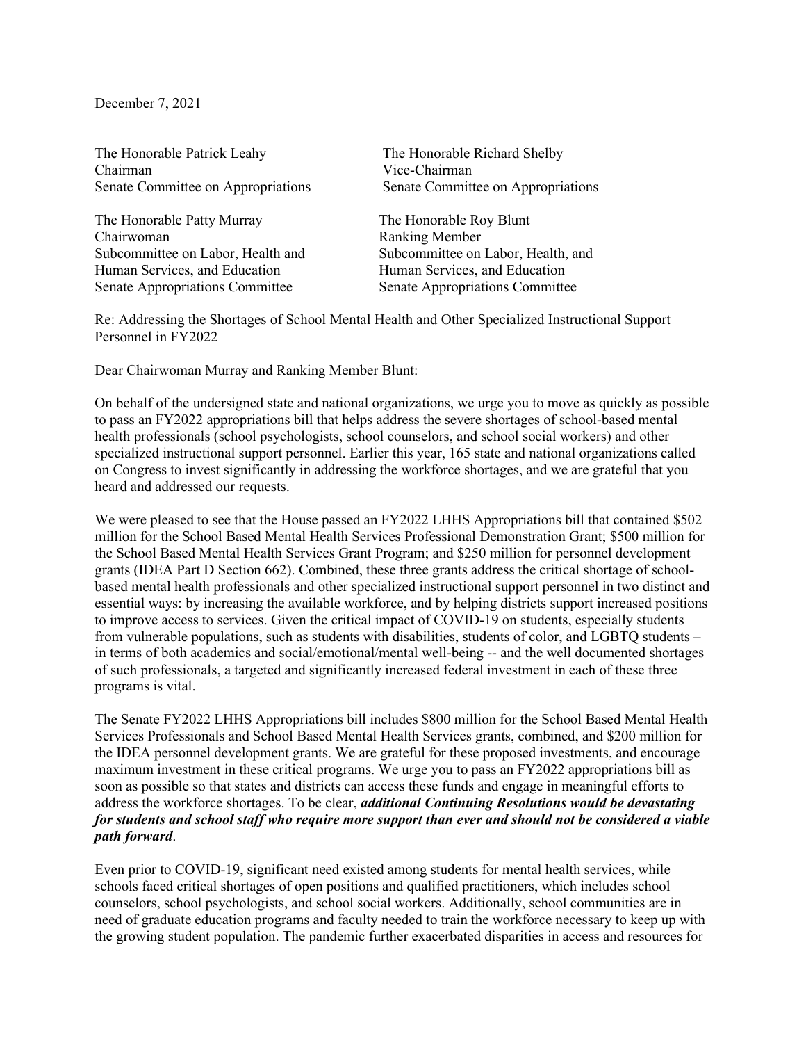December 7, 2021

The Honorable Patrick Leahy The Honorable Richard Shelby Chairman<br>Senate Committee on Appropriations<br>Senate Committee on Appropriations Senate Committee on Appropriations

The Honorable Patty Murray The Honorable Roy Blunt<br>
Chairwoman Ranking Member Human Services, and Education Human Services, and Education Senate Appropriations Committee Senate Appropriations Committee

Ranking Member Subcommittee on Labor, Health and Subcommittee on Labor, Health, and

Re: Addressing the Shortages of School Mental Health and Other Specialized Instructional Support Personnel in FY2022

Dear Chairwoman Murray and Ranking Member Blunt:

On behalf of the undersigned state and national organizations, we urge you to move as quickly as possible to pass an FY2022 appropriations bill that helps address the severe shortages of school-based mental health professionals (school psychologists, school counselors, and school social workers) and other specialized instructional support personnel. Earlier this year, 165 state and national organizations called on Congress to invest significantly in addressing the workforce shortages, and we are grateful that you heard and addressed our requests.

We were pleased to see that the House passed an FY2022 LHHS Appropriations bill that contained \$502 million for the School Based Mental Health Services Professional Demonstration Grant; \$500 million for the School Based Mental Health Services Grant Program; and \$250 million for personnel development grants (IDEA Part D Section 662). Combined, these three grants address the critical shortage of schoolbased mental health professionals and other specialized instructional support personnel in two distinct and essential ways: by increasing the available workforce, and by helping districts support increased positions to improve access to services. Given the critical impact of COVID-19 on students, especially students from vulnerable populations, such as students with disabilities, students of color, and LGBTQ students – in terms of both academics and social/emotional/mental well-being -- and the well documented shortages of such professionals, a targeted and significantly increased federal investment in each of these three programs is vital.

The Senate FY2022 LHHS Appropriations bill includes \$800 million for the School Based Mental Health Services Professionals and School Based Mental Health Services grants, combined, and \$200 million for the IDEA personnel development grants. We are grateful for these proposed investments, and encourage maximum investment in these critical programs. We urge you to pass an FY2022 appropriations bill as soon as possible so that states and districts can access these funds and engage in meaningful efforts to address the workforce shortages. To be clear, *additional Continuing Resolutions would be devastating for students and school staff who require more support than ever and should not be considered a viable path forward*.

Even prior to COVID-19, significant need existed among students for mental health services, while schools faced critical shortages of open positions and qualified practitioners, which includes school counselors, school psychologists, and school social workers. Additionally, school communities are in need of graduate education programs and faculty needed to train the workforce necessary to keep up with the growing student population. The pandemic further exacerbated disparities in access and resources for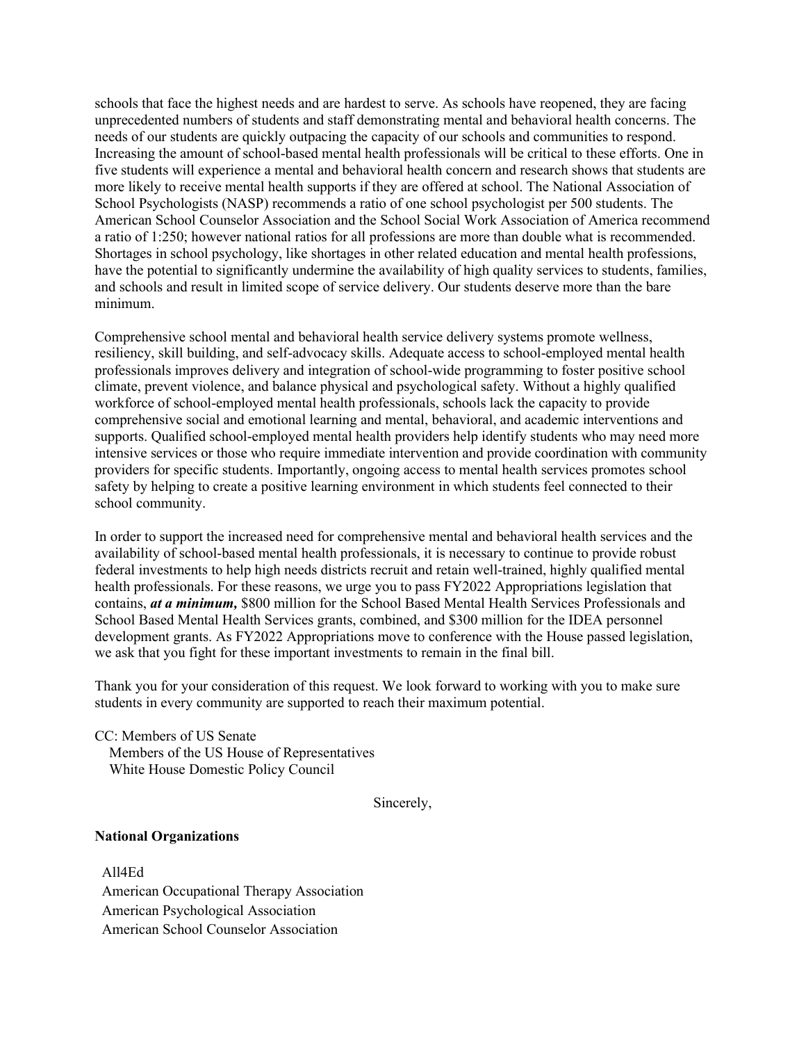schools that face the highest needs and are hardest to serve. As schools have reopened, they are facing unprecedented numbers of students and staff demonstrating mental and behavioral health concerns. The needs of our students are quickly outpacing the capacity of our schools and communities to respond. Increasing the amount of school-based mental health professionals will be critical to these efforts. One in five students will experience a mental and behavioral health concern and research shows that students are more likely to receive mental health supports if they are offered at school. The National Association of School Psychologists (NASP) recommends a ratio of one school psychologist per 500 students. The American School Counselor Association and the School Social Work Association of America recommend a ratio of 1:250; however national ratios for all professions are more than double what is recommended. Shortages in school psychology, like shortages in other related education and mental health professions, have the potential to significantly undermine the availability of high quality services to students, families, and schools and result in limited scope of service delivery. Our students deserve more than the bare minimum.

Comprehensive school mental and behavioral health service delivery systems promote wellness, resiliency, skill building, and self-advocacy skills. Adequate access to school-employed mental health professionals improves delivery and integration of school-wide programming to foster positive school climate, prevent violence, and balance physical and psychological safety. Without a highly qualified workforce of school-employed mental health professionals, schools lack the capacity to provide comprehensive social and emotional learning and mental, behavioral, and academic interventions and supports. Qualified school-employed mental health providers help identify students who may need more intensive services or those who require immediate intervention and provide coordination with community providers for specific students. Importantly, ongoing access to mental health services promotes school safety by helping to create a positive learning environment in which students feel connected to their school community.

In order to support the increased need for comprehensive mental and behavioral health services and the availability of school-based mental health professionals, it is necessary to continue to provide robust federal investments to help high needs districts recruit and retain well-trained, highly qualified mental health professionals. For these reasons, we urge you to pass FY2022 Appropriations legislation that contains, *at a minimum,* \$800 million for the School Based Mental Health Services Professionals and School Based Mental Health Services grants, combined, and \$300 million for the IDEA personnel development grants. As FY2022 Appropriations move to conference with the House passed legislation, we ask that you fight for these important investments to remain in the final bill.

Thank you for your consideration of this request. We look forward to working with you to make sure students in every community are supported to reach their maximum potential.

CC: Members of US Senate Members of the US House of Representatives White House Domestic Policy Council

Sincerely,

## **National Organizations**

All4Ed American Occupational Therapy Association American Psychological Association American School Counselor Association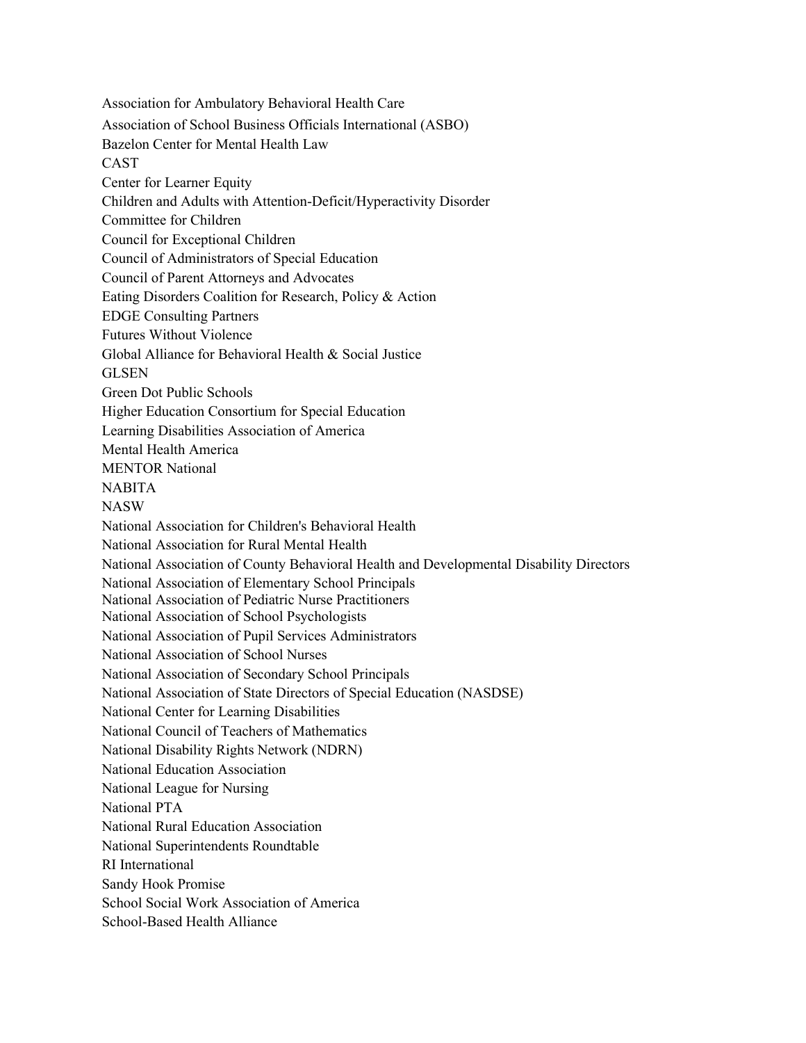Association for Ambulatory Behavioral Health Care Association of School Business Officials International (ASBO) Bazelon Center for Mental Health Law CAST Center for Learner Equity Children and Adults with Attention-Deficit/Hyperactivity Disorder Committee for Children Council for Exceptional Children Council of Administrators of Special Education Council of Parent Attorneys and Advocates Eating Disorders Coalition for Research, Policy & Action EDGE Consulting Partners Futures Without Violence Global Alliance for Behavioral Health & Social Justice GLSEN Green Dot Public Schools Higher Education Consortium for Special Education Learning Disabilities Association of America Mental Health America MENTOR National NABITA NASW National Association for Children's Behavioral Health National Association for Rural Mental Health National Association of County Behavioral Health and Developmental Disability Directors National Association of Elementary School Principals National Association of Pediatric Nurse Practitioners National Association of School Psychologists National Association of Pupil Services Administrators National Association of School Nurses National Association of Secondary School Principals National Association of State Directors of Special Education (NASDSE) National Center for Learning Disabilities National Council of Teachers of Mathematics National Disability Rights Network (NDRN) National Education Association National League for Nursing National PTA National Rural Education Association National Superintendents Roundtable RI International Sandy Hook Promise School Social Work Association of America School-Based Health Alliance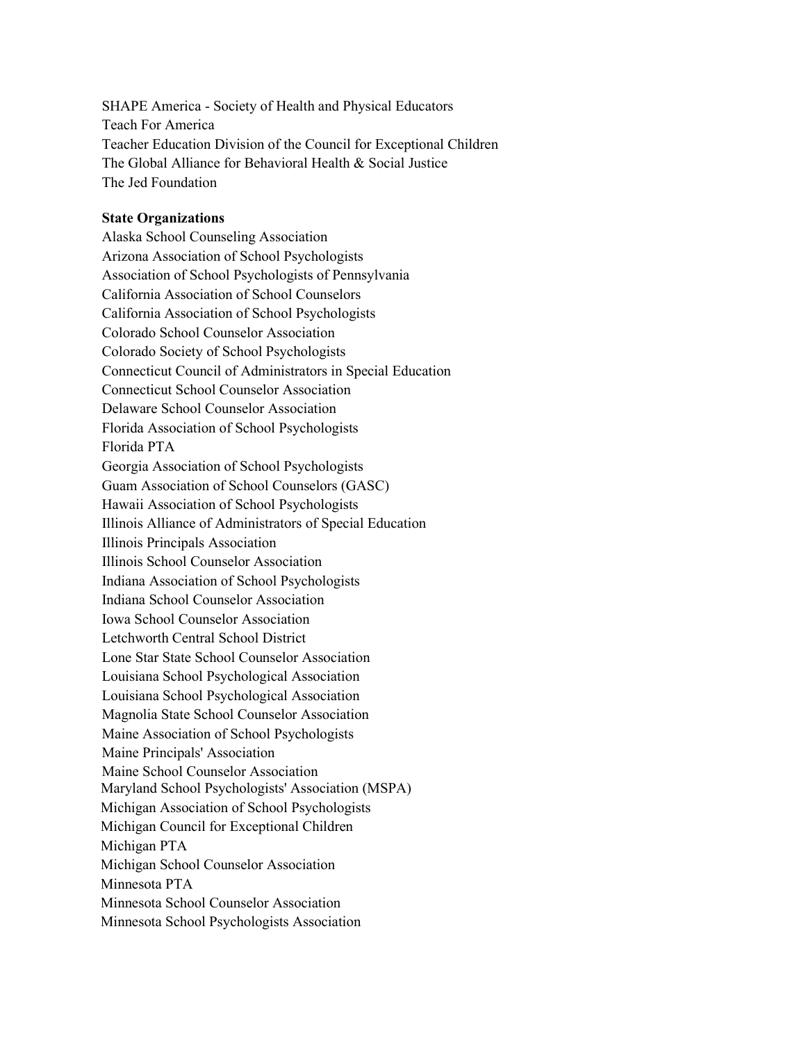SHAPE America - Society of Health and Physical Educators Teach For America Teacher Education Division of the Council for Exceptional Children The Global Alliance for Behavioral Health & Social Justice The Jed Foundation

## **State Organizations**

Alaska School Counseling Association Arizona Association of School Psychologists Association of School Psychologists of Pennsylvania California Association of School Counselors California Association of School Psychologists Colorado School Counselor Association Colorado Society of School Psychologists Connecticut Council of Administrators in Special Education Connecticut School Counselor Association Delaware School Counselor Association Florida Association of School Psychologists Florida PTA Georgia Association of School Psychologists Guam Association of School Counselors (GASC) Hawaii Association of School Psychologists Illinois Alliance of Administrators of Special Education Illinois Principals Association Illinois School Counselor Association Indiana Association of School Psychologists Indiana School Counselor Association Iowa School Counselor Association Letchworth Central School District Lone Star State School Counselor Association Louisiana School Psychological Association Louisiana School Psychological Association Magnolia State School Counselor Association Maine Association of School Psychologists Maine Principals' Association Maine School Counselor Association Maryland School Psychologists' Association (MSPA) Michigan Association of School Psychologists Michigan Council for Exceptional Children Michigan PTA Michigan School Counselor Association Minnesota PTA Minnesota School Counselor Association Minnesota School Psychologists Association